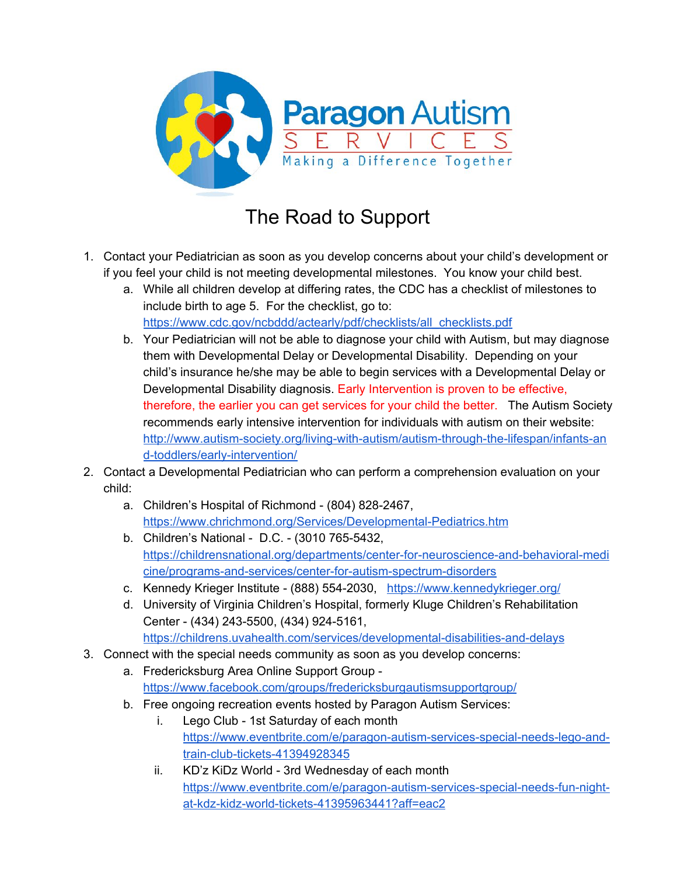

## The Road to Support

- 1. Contact your Pediatrician as soon as you develop concerns about your child's development or if you feel your child is not meeting developmental milestones. You know your child best.
	- a. While all children develop at differing rates, the CDC has a checklist of milestones to include birth to age 5. For the checklist, go to: [https://www.cdc.gov/ncbddd/actearly/pdf/checklists/all\\_checklists.pdf](https://www.cdc.gov/ncbddd/actearly/pdf/checklists/all_checklists.pdf)
	- b. Your Pediatrician will not be able to diagnose your child with Autism, but may diagnose them with Developmental Delay or Developmental Disability. Depending on your child's insurance he/she may be able to begin services with a Developmental Delay or Developmental Disability diagnosis. Early Intervention is proven to be effective, therefore, the earlier you can get services for your child the better. The Autism Society recommends early intensive intervention for individuals with autism on their website: [http://www.autism-society.org/living-with-autism/autism-through-the-lifespan/infants-an](http://www.autism-society.org/living-with-autism/autism-through-the-lifespan/infants-and-toddlers/early-intervention/) [d-toddlers/early-intervention/](http://www.autism-society.org/living-with-autism/autism-through-the-lifespan/infants-and-toddlers/early-intervention/)
- 2. Contact a Developmental Pediatrician who can perform a comprehension evaluation on your child:
	- a. Children's Hospital of Richmond (804) 828-2467, <https://www.chrichmond.org/Services/Developmental-Pediatrics.htm>
	- b. Children's National D.C. (3010 765-5432, [https://childrensnational.org/departments/center-for-neuroscience-and-behavioral-medi](https://childrensnational.org/departments/center-for-neuroscience-and-behavioral-medicine/programs-and-services/center-for-autism-spectrum-disorders) [cine/programs-and-services/center-for-autism-spectrum-disorders](https://childrensnational.org/departments/center-for-neuroscience-and-behavioral-medicine/programs-and-services/center-for-autism-spectrum-disorders)
	- c. Kennedy Krieger Institute (888) 554-2030, <https://www.kennedykrieger.org/>
	- d. University of Virginia Children's Hospital, formerly Kluge Children's Rehabilitation Center - (434) 243-5500, (434) 924-5161, <https://childrens.uvahealth.com/services/developmental-disabilities-and-delays>
- 3. Connect with the special needs community as soon as you develop concerns:
	- a. Fredericksburg Area Online Support Group <https://www.facebook.com/groups/fredericksburgautismsupportgroup/>
		- b. Free ongoing recreation events hosted by Paragon Autism Services:
			- i. Lego Club 1st Saturday of each month [https://www.eventbrite.com/e/paragon-autism-services-special-needs-lego-and](https://www.eventbrite.com/e/paragon-autism-services-special-needs-lego-and-train-club-tickets-41394928345)[train-club-tickets-41394928345](https://www.eventbrite.com/e/paragon-autism-services-special-needs-lego-and-train-club-tickets-41394928345)
			- ii. KD'z KiDz World 3rd Wednesday of each month [https://www.eventbrite.com/e/paragon-autism-services-special-needs-fun-night](https://www.eventbrite.com/e/paragon-autism-services-special-needs-fun-night-at-kdz-kidz-world-tickets-41395963441?aff=eac2)[at-kdz-kidz-world-tickets-41395963441?aff=eac2](https://www.eventbrite.com/e/paragon-autism-services-special-needs-fun-night-at-kdz-kidz-world-tickets-41395963441?aff=eac2)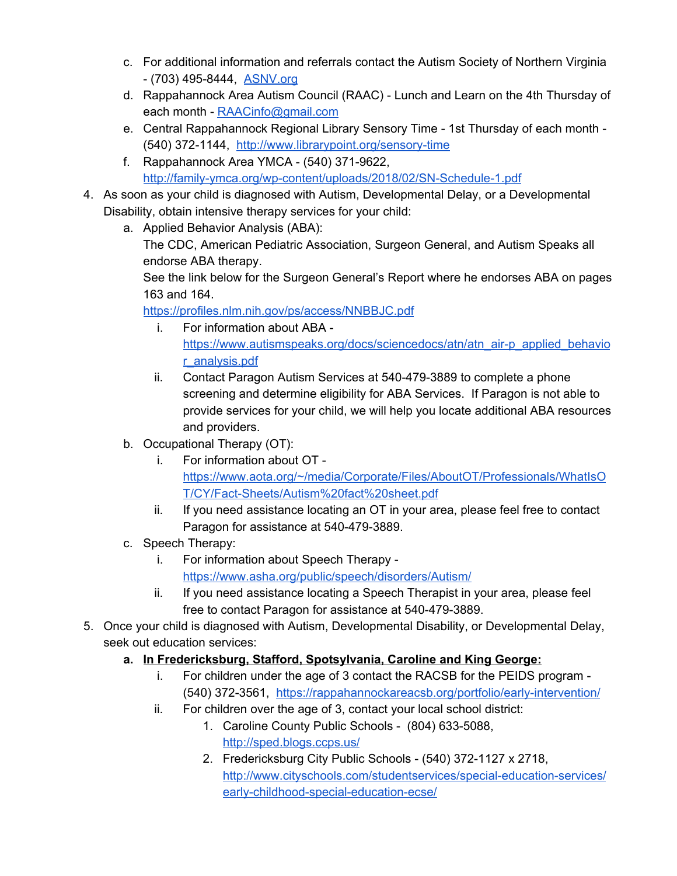- c. For additional information and referrals contact the Autism Society of Northern Virginia - (703) 495-8444, [ASNV.org](https://www.asnv.org/)
- d. Rappahannock Area Autism Council (RAAC) Lunch and Learn on the 4th Thursday of each month - [RAACinfo@gmail.com](mailto:RAACinfo@gmail.com)
- e. Central Rappahannock Regional Library Sensory Time 1st Thursday of each month (540) 372-1144, <http://www.librarypoint.org/sensory-time>
- f. Rappahannock Area YMCA (540) 371-9622, <http://family-ymca.org/wp-content/uploads/2018/02/SN-Schedule-1.pdf>
- 4. As soon as your child is diagnosed with Autism, Developmental Delay, or a Developmental Disability, obtain intensive therapy services for your child:
	- a. Applied Behavior Analysis (ABA):

The CDC, American Pediatric Association, Surgeon General, and Autism Speaks all endorse ABA therapy.

See the link below for the Surgeon General's Report where he endorses ABA on pages 163 and 164.

<https://profiles.nlm.nih.gov/ps/access/NNBBJC.pdf>

- i. For information about ABA [https://www.autismspeaks.org/docs/sciencedocs/atn/atn\\_air-p\\_applied\\_behavio](https://www.autismspeaks.org/docs/sciencedocs/atn/atn_air-p_applied_behavior_analysis.pdf) [r\\_analysis.pdf](https://www.autismspeaks.org/docs/sciencedocs/atn/atn_air-p_applied_behavior_analysis.pdf)
- ii. Contact Paragon Autism Services at 540-479-3889 to complete a phone screening and determine eligibility for ABA Services. If Paragon is not able to provide services for your child, we will help you locate additional ABA resources and providers.
- b. Occupational Therapy (OT):
	- i. For information about OT [https://www.aota.org/~/media/Corporate/Files/AboutOT/Professionals/WhatIsO](https://www.aota.org/~/media/Corporate/Files/AboutOT/Professionals/WhatIsOT/CY/Fact-Sheets/Autism%20fact%20sheet.pdf) [T/CY/Fact-Sheets/Autism%20fact%20sheet.pdf](https://www.aota.org/~/media/Corporate/Files/AboutOT/Professionals/WhatIsOT/CY/Fact-Sheets/Autism%20fact%20sheet.pdf)
	- ii. If you need assistance locating an OT in your area, please feel free to contact Paragon for assistance at 540-479-3889.
- c. Speech Therapy:
	- i. For information about Speech Therapy <https://www.asha.org/public/speech/disorders/Autism/>
	- ii. If you need assistance locating a Speech Therapist in your area, please feel free to contact Paragon for assistance at 540-479-3889.
- 5. Once your child is diagnosed with Autism, Developmental Disability, or Developmental Delay, seek out education services:
	- **a. In Fredericksburg, Stafford, Spotsylvania, Caroline and King George:**
		- i. For children under the age of 3 contact the RACSB for the PEIDS program (540) 372-3561, <https://rappahannockareacsb.org/portfolio/early-intervention/>
		- ii. For children over the age of 3, contact your local school district:
			- 1. Caroline County Public Schools (804) 633-5088, <http://sped.blogs.ccps.us/>
				- 2. Fredericksburg City Public Schools (540) 372-1127 x 2718, [http://www.cityschools.com/studentservices/special-education-services/](http://www.cityschools.com/studentservices/special-education-services/early-childhood-special-education-ecse/) [early-childhood-special-education-ecse/](http://www.cityschools.com/studentservices/special-education-services/early-childhood-special-education-ecse/)